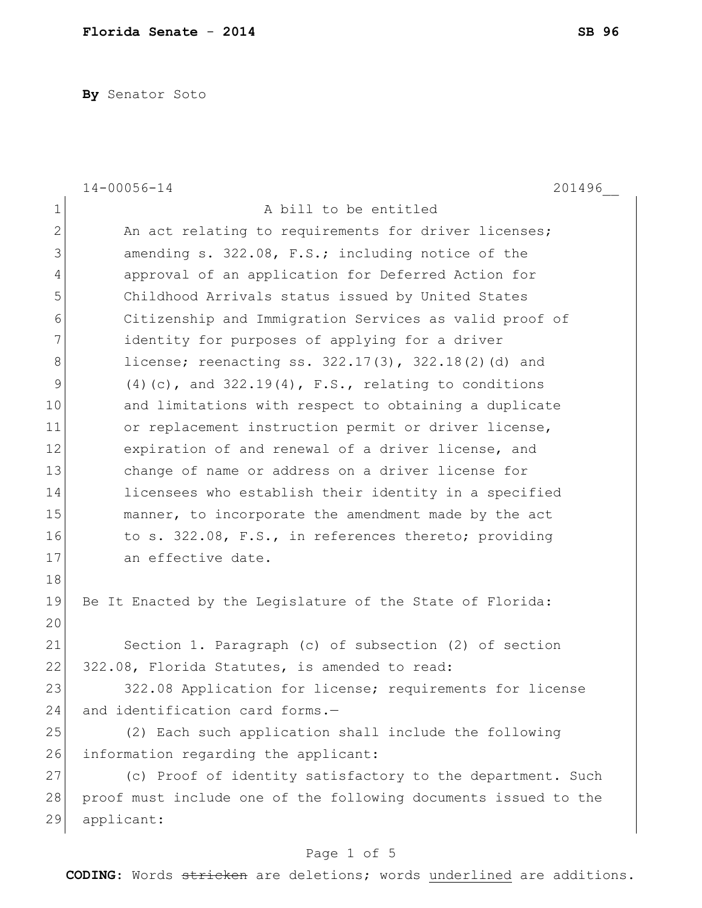**By** Senator Soto

|              | $14 - 00056 - 14$<br>201496                                     |
|--------------|-----------------------------------------------------------------|
| $\mathbf 1$  | A bill to be entitled                                           |
| $\mathbf{2}$ | An act relating to requirements for driver licenses;            |
| 3            | amending s. 322.08, F.S.; including notice of the               |
| 4            | approval of an application for Deferred Action for              |
| 5            | Childhood Arrivals status issued by United States               |
| 6            | Citizenship and Immigration Services as valid proof of          |
| 7            | identity for purposes of applying for a driver                  |
| $\,8\,$      | license; reenacting ss. $322.17(3)$ , $322.18(2)$ (d) and       |
| $\mathsf 9$  | $(4)$ (c), and 322.19(4), F.S., relating to conditions          |
| 10           | and limitations with respect to obtaining a duplicate           |
| 11           | or replacement instruction permit or driver license,            |
| 12           | expiration of and renewal of a driver license, and              |
| 13           | change of name or address on a driver license for               |
| 14           | licensees who establish their identity in a specified           |
| 15           | manner, to incorporate the amendment made by the act            |
| 16           | to s. 322.08, F.S., in references thereto; providing            |
| 17           | an effective date.                                              |
| 18           |                                                                 |
| 19           | Be It Enacted by the Legislature of the State of Florida:       |
| 20           |                                                                 |
| 21           | Section 1. Paragraph (c) of subsection (2) of section           |
| 22           | 322.08, Florida Statutes, is amended to read:                   |
| 23           | 322.08 Application for license; requirements for license        |
| 24           | and identification card forms.-                                 |
| 25           | (2) Each such application shall include the following           |
| 26           | information regarding the applicant:                            |
| 27           | (c) Proof of identity satisfactory to the department. Such      |
| 28           | proof must include one of the following documents issued to the |
| 29           | applicant:                                                      |

## Page 1 of 5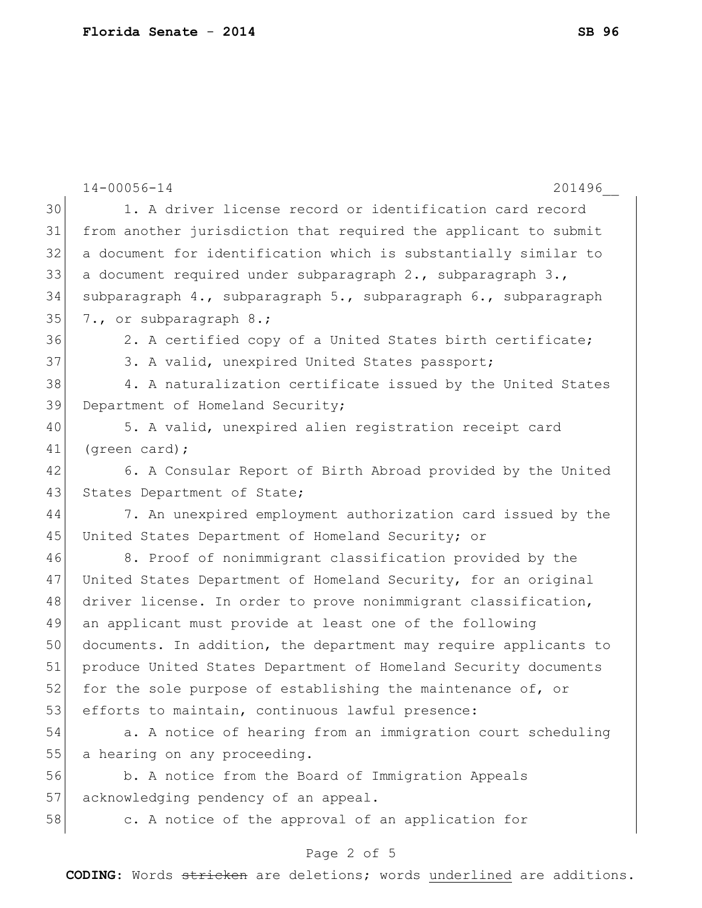|    | $14 - 00056 - 14$<br>201496                                      |
|----|------------------------------------------------------------------|
| 30 | 1. A driver license record or identification card record         |
| 31 | from another jurisdiction that required the applicant to submit  |
| 32 | a document for identification which is substantially similar to  |
| 33 | a document required under subparagraph 2., subparagraph 3.,      |
| 34 | subparagraph 4., subparagraph 5., subparagraph 6., subparagraph  |
| 35 | 7., or subparagraph 8.;                                          |
| 36 | 2. A certified copy of a United States birth certificate;        |
| 37 | 3. A valid, unexpired United States passport;                    |
| 38 | 4. A naturalization certificate issued by the United States      |
| 39 | Department of Homeland Security;                                 |
| 40 | 5. A valid, unexpired alien registration receipt card            |
| 41 | (green card);                                                    |
| 42 | 6. A Consular Report of Birth Abroad provided by the United      |
| 43 | States Department of State;                                      |
| 44 | 7. An unexpired employment authorization card issued by the      |
| 45 | United States Department of Homeland Security; or                |
| 46 | 8. Proof of nonimmigrant classification provided by the          |
| 47 | United States Department of Homeland Security, for an original   |
| 48 | driver license. In order to prove nonimmigrant classification,   |
| 49 | an applicant must provide at least one of the following          |
| 50 | documents. In addition, the department may require applicants to |
| 51 | produce United States Department of Homeland Security documents  |
| 52 | for the sole purpose of establishing the maintenance of, or      |
| 53 | efforts to maintain, continuous lawful presence:                 |
| 54 | a. A notice of hearing from an immigration court scheduling      |
| 55 | a hearing on any proceeding.                                     |
| 56 | b. A notice from the Board of Immigration Appeals                |
| 57 | acknowledging pendency of an appeal.                             |
| 58 | c. A notice of the approval of an application for                |
|    | Page 2 of 5                                                      |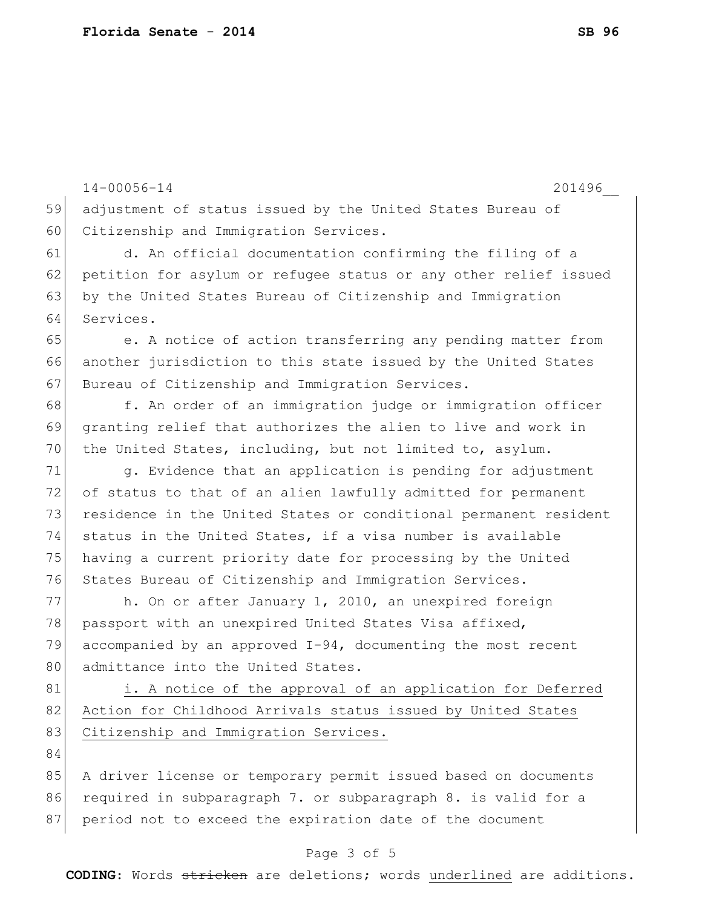14-00056-14 201496\_\_ 59 adjustment of status issued by the United States Bureau of 60 Citizenship and Immigration Services. 61 d. An official documentation confirming the filing of a 62 petition for asylum or refugee status or any other relief issued 63 by the United States Bureau of Citizenship and Immigration 64 Services. 65 e. A notice of action transferring any pending matter from 66 another jurisdiction to this state issued by the United States 67 Bureau of Citizenship and Immigration Services. 68 f. An order of an immigration judge or immigration officer 69 granting relief that authorizes the alien to live and work in 70 the United States, including, but not limited to, asylum. 71 g. Evidence that an application is pending for adjustment 72 of status to that of an alien lawfully admitted for permanent 73 residence in the United States or conditional permanent resident 74 status in the United States, if a visa number is available 75 having a current priority date for processing by the United 76 States Bureau of Citizenship and Immigration Services. 77 h. On or after January 1, 2010, an unexpired foreign 78 passport with an unexpired United States Visa affixed, 79 accompanied by an approved  $I-94$ , documenting the most recent 80 admittance into the United States. 81 i. A notice of the approval of an application for Deferred 82 Action for Childhood Arrivals status issued by United States 83 Citizenship and Immigration Services. 84 85 A driver license or temporary permit issued based on documents 86 required in subparagraph 7. or subparagraph 8. is valid for a 87 period not to exceed the expiration date of the document

## Page 3 of 5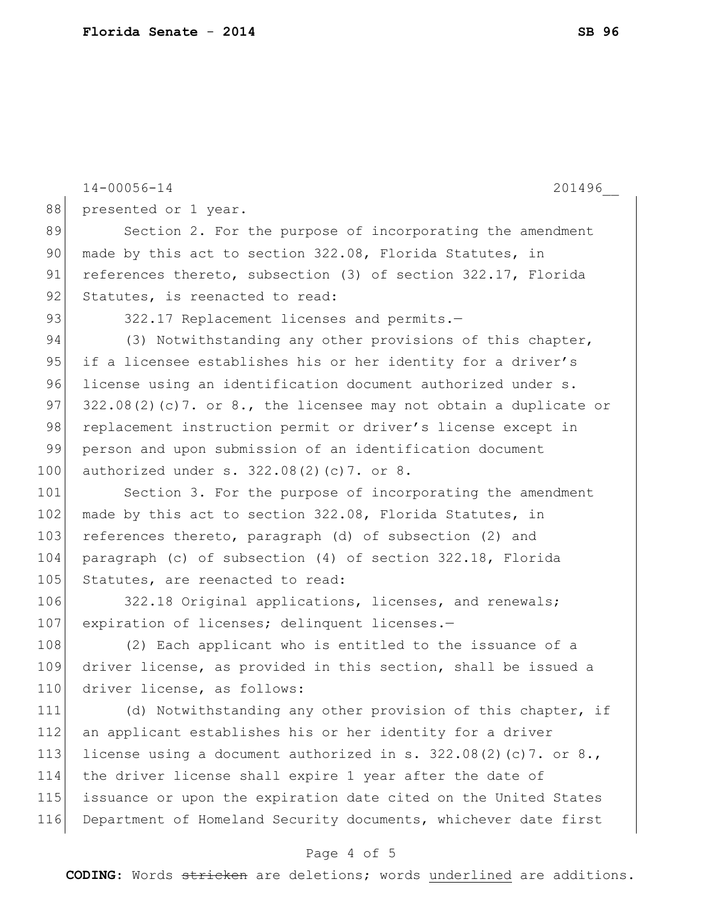|     | $14 - 00056 - 14$<br>201496                                         |
|-----|---------------------------------------------------------------------|
| 88  | presented or 1 year.                                                |
| 89  | Section 2. For the purpose of incorporating the amendment           |
| 90  | made by this act to section 322.08, Florida Statutes, in            |
| 91  | references thereto, subsection (3) of section 322.17, Florida       |
| 92  | Statutes, is reenacted to read:                                     |
| 93  | 322.17 Replacement licenses and permits.-                           |
| 94  | (3) Notwithstanding any other provisions of this chapter,           |
| 95  | if a licensee establishes his or her identity for a driver's        |
| 96  | license using an identification document authorized under s.        |
| 97  | $322.08(2)$ (c)7. or 8., the licensee may not obtain a duplicate or |
| 98  | replacement instruction permit or driver's license except in        |
| 99  | person and upon submission of an identification document            |
| 100 | authorized under s. 322.08(2)(c)7. or 8.                            |
| 101 | Section 3. For the purpose of incorporating the amendment           |
| 102 | made by this act to section 322.08, Florida Statutes, in            |
| 103 | references thereto, paragraph (d) of subsection (2) and             |
| 104 | paragraph (c) of subsection (4) of section 322.18, Florida          |
| 105 | Statutes, are reenacted to read:                                    |
| 106 | 322.18 Original applications, licenses, and renewals;               |
| 107 | expiration of licenses; delinquent licenses.-                       |
| 108 | (2) Each applicant who is entitled to the issuance of a             |
| 109 | driver license, as provided in this section, shall be issued a      |
| 110 | driver license, as follows:                                         |
| 111 | (d) Notwithstanding any other provision of this chapter, if         |
| 112 | an applicant establishes his or her identity for a driver           |
| 113 | license using a document authorized in s. $322.08(2)(c)7$ . or 8.,  |
| 114 | the driver license shall expire 1 year after the date of            |
| 115 | issuance or upon the expiration date cited on the United States     |
| 116 | Department of Homeland Security documents, whichever date first     |
|     | Page 4 of 5                                                         |